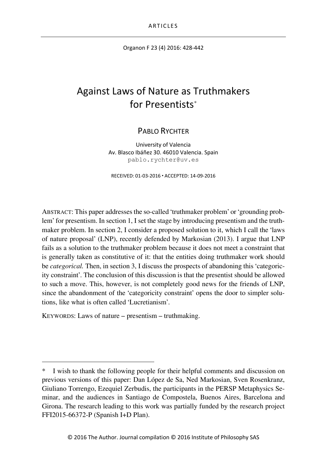Organon F 23 (4) 2016: 428-442

# Against Laws of Nature as Truthmakers for Presentists[\\*](#page-0-0)

# PABLO RYCHTER

University of Valencia Av. Blasco Ibáñez 30. 46010 Valencia. Spain pablo.rychter@uv.es

RECEIVED: 01-03-2016 ACCEPTED: 14-09-2016

ABSTRACT: This paper addresses the so-called 'truthmaker problem' or 'grounding problem' for presentism. In section 1, I set the stage by introducing presentism and the truthmaker problem. In section 2, I consider a proposed solution to it, which I call the 'laws of nature proposal' (LNP), recently defended by Markosian (2013). I argue that LNP fails as a solution to the truthmaker problem because it does not meet a constraint that is generally taken as constitutive of it: that the entities doing truthmaker work should be *categorical.* Then, in section 3, I discuss the prospects of abandoning this 'categoricity constraint'. The conclusion of this discussion is that the presentist should be allowed to such a move. This, however, is not completely good news for the friends of LNP, since the abandonment of the 'categoricity constraint' opens the door to simpler solutions, like what is often called 'Lucretianism'.

KEYWORDS: Laws of nature – presentism – truthmaking.

j

<span id="page-0-0"></span>I wish to thank the following people for their helpful comments and discussion on previous versions of this paper: Dan López de Sa, Ned Markosian, Sven Rosenkranz, Giuliano Torrengo, Ezequiel Zerbudis, the participants in the PERSP Metaphysics Seminar, and the audiences in Santiago de Compostela, Buenos Aires, Barcelona and Girona. The research leading to this work was partially funded by the research project FFI2015-66372-P (Spanish I+D Plan).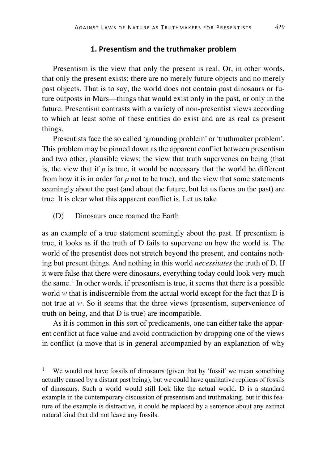#### **1. Presentism and the truthmaker problem**

Presentism is the view that only the present is real. Or, in other words, that only the present exists: there are no merely future objects and no merely past objects. That is to say, the world does not contain past dinosaurs or future outposts in Mars—things that would exist only in the past, or only in the future. Presentism contrasts with a variety of non-presentist views according to which at least some of these entities do exist and are as real as present things.

Presentists face the so called 'grounding problem' or 'truthmaker problem'. This problem may be pinned down as the apparent conflict between presentism and two other, plausible views: the view that truth supervenes on being (that is, the view that if *p* is true, it would be necessary that the world be different from how it is in order for  $p$  not to be true), and the view that some statements seemingly about the past (and about the future, but let us focus on the past) are true. It is clear what this apparent conflict is. Let us take

(D) Dinosaurs once roamed the Earth

as an example of a true statement seemingly about the past. If presentism is true, it looks as if the truth of D fails to supervene on how the world is. The world of the presentist does not stretch beyond the present, and contains nothing but present things. And nothing in this world *necessitates* the truth of D. If it were false that there were dinosaurs, everything today could look very much the same.<sup>[1](#page-1-0)</sup> In other words, if presentism is true, it seems that there is a possible world *w* that is indiscernible from the actual world except for the fact that D is not true at *w*. So it seems that the three views (presentism, supervenience of truth on being, and that D is true) are incompatible.

As it is common in this sort of predicaments, one can either take the apparent conflict at face value and avoid contradiction by dropping one of the views in conflict (a move that is in general accompanied by an explanation of why

<span id="page-1-0"></span>We would not have fossils of dinosaurs (given that by 'fossil' we mean something actually caused by a distant past being), but we could have qualitative replicas of fossils of dinosaurs. Such a world would still look like the actual world. D is a standard example in the contemporary discussion of presentism and truthmaking, but if this feature of the example is distractive, it could be replaced by a sentence about any extinct natural kind that did not leave any fossils.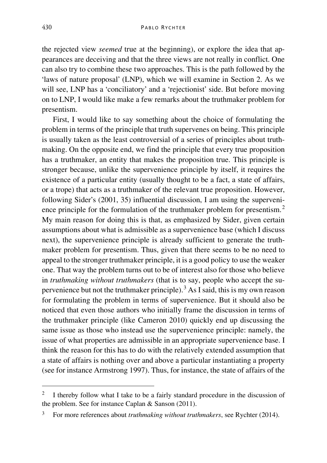the rejected view *seemed* true at the beginning), or explore the idea that appearances are deceiving and that the three views are not really in conflict. One can also try to combine these two approaches. This is the path followed by the 'laws of nature proposal' (LNP), which we will examine in Section 2. As we will see, LNP has a 'conciliatory' and a 'rejectionist' side. But before moving on to LNP, I would like make a few remarks about the truthmaker problem for presentism.

First, I would like to say something about the choice of formulating the problem in terms of the principle that truth supervenes on being. This principle is usually taken as the least controversial of a series of principles about truthmaking. On the opposite end, we find the principle that every true proposition has a truthmaker, an entity that makes the proposition true. This principle is stronger because, unlike the supervenience principle by itself, it requires the existence of a particular entity (usually thought to be a fact, a state of affairs, or a trope) that acts as a truthmaker of the relevant true proposition. However, following Sider's (2001, 35) influential discussion, I am using the superveni-ence principle for the formulation of the truthmaker problem for presentism.<sup>[2](#page-2-0)</sup> My main reason for doing this is that, as emphasized by Sider, given certain assumptions about what is admissible as a supervenience base (which I discuss next), the supervenience principle is already sufficient to generate the truthmaker problem for presentism. Thus, given that there seems to be no need to appeal to the stronger truthmaker principle, it is a good policy to use the weaker one. That way the problem turns out to be of interest also for those who believe in *truthmaking without truthmakers* (that is to say, people who accept the su-pervenience but not the truthmaker principle).<sup>[3](#page-2-1)</sup> As I said, this is my own reason for formulating the problem in terms of supervenience. But it should also be noticed that even those authors who initially frame the discussion in terms of the truthmaker principle (like Cameron 2010) quickly end up discussing the same issue as those who instead use the supervenience principle: namely, the issue of what properties are admissible in an appropriate supervenience base. I think the reason for this has to do with the relatively extended assumption that a state of affairs is nothing over and above a particular instantiating a property (see for instance Armstrong 1997). Thus, for instance, the state of affairs of the

<span id="page-2-0"></span><sup>&</sup>lt;sup>2</sup> I thereby follow what I take to be a fairly standard procedure in the discussion of the problem. See for instance Caplan & Sanson (2011).

<span id="page-2-1"></span><sup>3</sup> For more references about *truthmaking without truthmakers*, see Rychter (2014).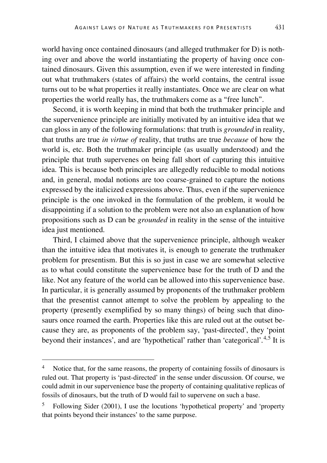world having once contained dinosaurs (and alleged truthmaker for D) is nothing over and above the world instantiating the property of having once contained dinosaurs. Given this assumption, even if we were interested in finding out what truthmakers (states of affairs) the world contains, the central issue turns out to be what properties it really instantiates. Once we are clear on what properties the world really has, the truthmakers come as a "free lunch".

Second, it is worth keeping in mind that both the truthmaker principle and the supervenience principle are initially motivated by an intuitive idea that we can gloss in any of the following formulations: that truth is *grounded* in reality, that truths are true *in virtue of* reality, that truths are true *because* of how the world is, etc. Both the truthmaker principle (as usually understood) and the principle that truth supervenes on being fall short of capturing this intuitive idea. This is because both principles are allegedly reducible to modal notions and, in general, modal notions are too coarse-grained to capture the notions expressed by the italicized expressions above. Thus, even if the supervenience principle is the one invoked in the formulation of the problem, it would be disappointing if a solution to the problem were not also an explanation of how propositions such as D can be *grounded* in reality in the sense of the intuitive idea just mentioned.

Third, I claimed above that the supervenience principle, although weaker than the intuitive idea that motivates it, is enough to generate the truthmaker problem for presentism. But this is so just in case we are somewhat selective as to what could constitute the supervenience base for the truth of D and the like. Not any feature of the world can be allowed into this supervenience base. In particular, it is generally assumed by proponents of the truthmaker problem that the presentist cannot attempt to solve the problem by appealing to the property (presently exemplified by so many things) of being such that dinosaurs once roamed the earth. Properties like this are ruled out at the outset because they are, as proponents of the problem say, 'past-directed', they 'point beyond their instances', and are 'hypothetical' rather than 'categorical'.[4,](#page-3-0)[5](#page-3-1) It is

<span id="page-3-0"></span>Notice that, for the same reasons, the property of containing fossils of dinosaurs is ruled out. That property is 'past-directed' in the sense under discussion. Of course, we could admit in our supervenience base the property of containing qualitative replicas of fossils of dinosaurs, but the truth of D would fail to supervene on such a base.

<span id="page-3-1"></span><sup>5</sup> Following Sider (2001), I use the locutions 'hypothetical property' and 'property that points beyond their instances' to the same purpose.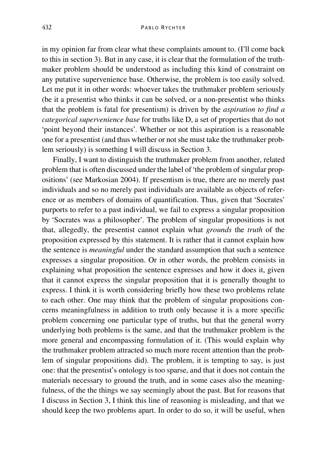in my opinion far from clear what these complaints amount to. (I'll come back to this in section 3). But in any case, it is clear that the formulation of the truthmaker problem should be understood as including this kind of constraint on any putative supervenience base. Otherwise, the problem is too easily solved. Let me put it in other words: whoever takes the truthmaker problem seriously (be it a presentist who thinks it can be solved, or a non-presentist who thinks that the problem is fatal for presentism) is driven by the *aspiration to find a categorical supervenience base* for truths like D, a set of properties that do not 'point beyond their instances'. Whether or not this aspiration is a reasonable one for a presentist (and thus whether or not she must take the truthmaker problem seriously) is something I will discuss in Section 3.

Finally, I want to distinguish the truthmaker problem from another, related problem that is often discussed under the label of 'the problem of singular propositions' (see Markosian 2004). If presentism is true, there are no merely past individuals and so no merely past individuals are available as objects of reference or as members of domains of quantification. Thus, given that 'Socrates' purports to refer to a past individual, we fail to express a singular proposition by 'Socrates was a philosopher'. The problem of singular propositions is not that, allegedly, the presentist cannot explain what *grounds* the *truth* of the proposition expressed by this statement. It is rather that it cannot explain how the sentence is *meaningful* under the standard assumption that such a sentence expresses a singular proposition. Or in other words, the problem consists in explaining what proposition the sentence expresses and how it does it, given that it cannot express the singular proposition that it is generally thought to express. I think it is worth considering briefly how these two problems relate to each other. One may think that the problem of singular propositions concerns meaningfulness in addition to truth only because it is a more specific problem concerning one particular type of truths, but that the general worry underlying both problems is the same, and that the truthmaker problem is the more general and encompassing formulation of it. (This would explain why the truthmaker problem attracted so much more recent attention than the problem of singular propositions did). The problem, it is tempting to say, is just one: that the presentist's ontology is too sparse, and that it does not contain the materials necessary to ground the truth, and in some cases also the meaningfulness, of the the things we say seemingly about the past. But for reasons that I discuss in Section 3, I think this line of reasoning is misleading, and that we should keep the two problems apart. In order to do so, it will be useful, when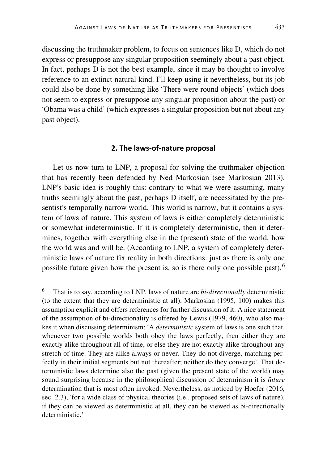discussing the truthmaker problem, to focus on sentences like D, which do not express or presuppose any singular proposition seemingly about a past object. In fact, perhaps D is not the best example, since it may be thought to involve reference to an extinct natural kind. I'll keep using it nevertheless, but its job could also be done by something like 'There were round objects' (which does not seem to express or presuppose any singular proposition about the past) or 'Obama was a child' (which expresses a singular proposition but not about any past object).

#### **2. The laws-of-nature proposal**

Let us now turn to LNP, a proposal for solving the truthmaker objection that has recently been defended by Ned Markosian (see Markosian 2013). LNP's basic idea is roughly this: contrary to what we were assuming, many truths seemingly about the past, perhaps D itself, are necessitated by the presentist's temporally narrow world. This world is narrow, but it contains a system of laws of nature. This system of laws is either completely deterministic or somewhat indeterministic. If it is completely deterministic, then it determines, together with everything else in the (present) state of the world, how the world was and will be. (According to LNP, a system of completely deterministic laws of nature fix reality in both directions: just as there is only one possible future given how the present is, so is there only one possible past).[6](#page-5-0)

<span id="page-5-0"></span> <sup>6</sup> That is to say, according to LNP, laws of nature are *bi-directionally* deterministic (to the extent that they are deterministic at all). Markosian (1995, 100) makes this assumption explicit and offers references for further discussion of it. A nice statement of the assumption of bi-directionality is offered by Lewis (1979, 460), who also makes it when discussing determinism: 'A *deterministic* system of laws is one such that, whenever two possible worlds both obey the laws perfectly, then either they are exactly alike throughout all of time, or else they are not exactly alike throughout any stretch of time. They are alike always or never. They do not diverge, matching perfectly in their initial segments but not thereafter; neither do they converge'. That deterministic laws determine also the past (given the present state of the world) may sound surprising because in the philosophical discussion of determinism it is *future* determination that is most often invoked. Nevertheless, as noticed by Hoefer (2016, sec. 2.3), 'for a wide class of physical theories (i.e., proposed sets of laws of nature), if they can be viewed as deterministic at all, they can be viewed as bi-directionally deterministic.'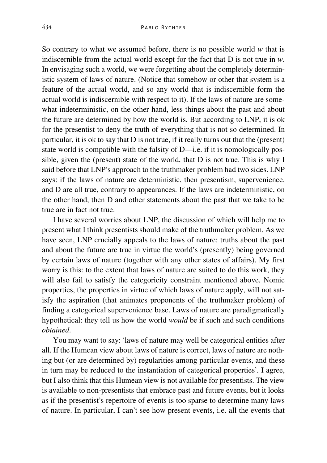So contrary to what we assumed before, there is no possible world *w* that is indiscernible from the actual world except for the fact that D is not true in *w*. In envisaging such a world, we were forgetting about the completely deterministic system of laws of nature. (Notice that somehow or other that system is a feature of the actual world, and so any world that is indiscernible form the actual world is indiscernible with respect to it). If the laws of nature are somewhat indeterministic, on the other hand, less things about the past and about the future are determined by how the world is. But according to LNP, it is ok for the presentist to deny the truth of everything that is not so determined. In particular, it is ok to say that D is not true, if it really turns out that the (present) state world is compatible with the falsity of D—i.e. if it is nomologically possible, given the (present) state of the world, that D is not true. This is why I said before that LNP's approach to the truthmaker problem had two sides. LNP says: if the laws of nature are deterministic, then presentism, supervenience, and D are all true, contrary to appearances. If the laws are indeterministic, on the other hand, then D and other statements about the past that we take to be true are in fact not true.

I have several worries about LNP, the discussion of which will help me to present what I think presentists should make of the truthmaker problem. As we have seen, LNP crucially appeals to the laws of nature: truths about the past and about the future are true in virtue the world's (presently) being governed by certain laws of nature (together with any other states of affairs). My first worry is this: to the extent that laws of nature are suited to do this work, they will also fail to satisfy the categoricity constraint mentioned above. Nomic properties, the properties in virtue of which laws of nature apply, will not satisfy the aspiration (that animates proponents of the truthmaker problem) of finding a categorical supervenience base. Laws of nature are paradigmatically hypothetical: they tell us how the world *would* be if such and such conditions *obtained*.

You may want to say: 'laws of nature may well be categorical entities after all. If the Humean view about laws of nature is correct, laws of nature are nothing but (or are determined by) regularities among particular events, and these in turn may be reduced to the instantiation of categorical properties'. I agree, but I also think that this Humean view is not available for presentists. The view is available to non-presentists that embrace past and future events, but it looks as if the presentist's repertoire of events is too sparse to determine many laws of nature. In particular, I can't see how present events, i.e. all the events that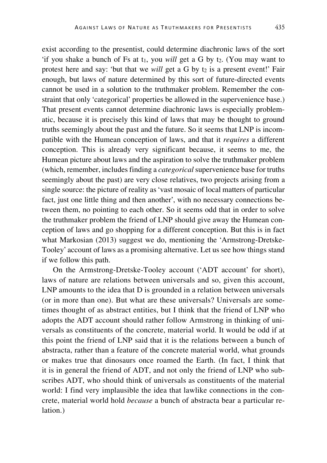exist according to the presentist, could determine diachronic laws of the sort 'if you shake a bunch of Fs at  $t_1$ , you *will* get a G by  $t_2$ . (You may want to protest here and say: 'but that we *will* get a G by t<sub>2</sub> is a present event!' Fair enough, but laws of nature determined by this sort of future-directed events cannot be used in a solution to the truthmaker problem. Remember the constraint that only 'categorical' properties be allowed in the supervenience base.) That present events cannot determine diachronic laws is especially problematic, because it is precisely this kind of laws that may be thought to ground truths seemingly about the past and the future. So it seems that LNP is incompatible with the Humean conception of laws, and that it *requires* a different conception. This is already very significant because, it seems to me, the Humean picture about laws and the aspiration to solve the truthmaker problem (which, remember, includes finding a *categorical*supervenience base for truths seemingly about the past) are very close relatives, two projects arising from a single source: the picture of reality as 'vast mosaic of local matters of particular fact, just one little thing and then another', with no necessary connections between them, no pointing to each other. So it seems odd that in order to solve the truthmaker problem the friend of LNP should give away the Humean conception of laws and go shopping for a different conception. But this is in fact what Markosian (2013) suggest we do, mentioning the 'Armstrong-Dretske-Tooley' account of laws as a promising alternative. Let us see how things stand if we follow this path.

On the Armstrong-Dretske-Tooley account ('ADT account' for short), laws of nature are relations between universals and so, given this account, LNP amounts to the idea that D is grounded in a relation between universals (or in more than one). But what are these universals? Universals are sometimes thought of as abstract entities, but I think that the friend of LNP who adopts the ADT account should rather follow Armstrong in thinking of universals as constituents of the concrete, material world. It would be odd if at this point the friend of LNP said that it is the relations between a bunch of abstracta, rather than a feature of the concrete material world, what grounds or makes true that dinosaurs once roamed the Earth. (In fact, I think that it is in general the friend of ADT, and not only the friend of LNP who subscribes ADT, who should think of universals as constituents of the material world: I find very implausible the idea that lawlike connections in the concrete, material world hold *because* a bunch of abstracta bear a particular relation.)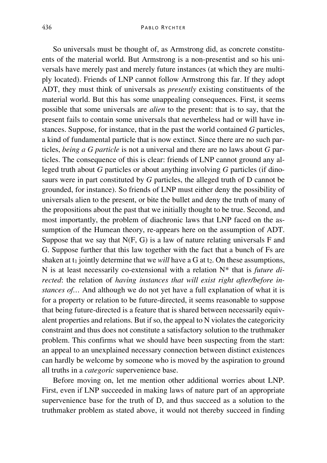So universals must be thought of, as Armstrong did, as concrete constituents of the material world. But Armstrong is a non-presentist and so his universals have merely past and merely future instances (at which they are multiply located). Friends of LNP cannot follow Armstrong this far. If they adopt ADT, they must think of universals as *presently* existing constituents of the material world. But this has some unappealing consequences. First, it seems possible that some universals are *alien* to the present: that is to say, that the present fails to contain some universals that nevertheless had or will have instances. Suppose, for instance, that in the past the world contained *G* particles, a kind of fundamental particle that is now extinct. Since there are no such particles, *being a G particle* is not a universal and there are no laws about *G* particles. The consequence of this is clear: friends of LNP cannot ground any alleged truth about *G* particles or about anything involving *G* particles (if dinosaurs were in part constituted by *G* particles, the alleged truth of D cannot be grounded, for instance). So friends of LNP must either deny the possibility of universals alien to the present, or bite the bullet and deny the truth of many of the propositions about the past that we initially thought to be true. Second, and most importantly, the problem of diachronic laws that LNP faced on the assumption of the Humean theory, re-appears here on the assumption of ADT. Suppose that we say that  $N(F, G)$  is a law of nature relating universals F and G. Suppose further that this law together with the fact that a bunch of Fs are shaken at  $t_1$  jointly determine that we *will* have a G at  $t_2$ . On these assumptions, N is at least necessarily co-extensional with a relation N\* that is *future directed*: the relation of *having instances that will exist right after/before instances of…* And although we do not yet have a full explanation of what it is for a property or relation to be future-directed, it seems reasonable to suppose that being future-directed is a feature that is shared between necessarily equivalent properties and relations. But if so, the appeal to N violates the categoricity constraint and thus does not constitute a satisfactory solution to the truthmaker problem. This confirms what we should have been suspecting from the start: an appeal to an unexplained necessary connection between distinct existences can hardly be welcome by someone who is moved by the aspiration to ground all truths in a *categoric* supervenience base.

Before moving on, let me mention other additional worries about LNP. First, even if LNP succeeded in making laws of nature part of an appropriate supervenience base for the truth of D, and thus succeed as a solution to the truthmaker problem as stated above, it would not thereby succeed in finding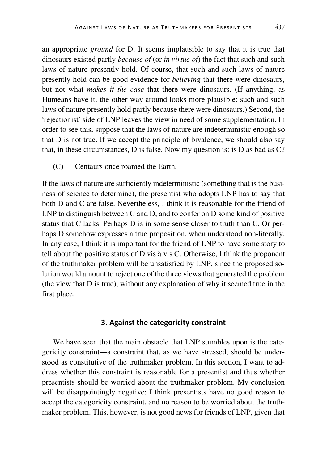an appropriate *ground* for D. It seems implausible to say that it is true that dinosaurs existed partly *because of* (or *in virtue of*) the fact that such and such laws of nature presently hold. Of course, that such and such laws of nature presently hold can be good evidence for *believing* that there were dinosaurs, but not what *makes it the case* that there were dinosaurs. (If anything, as Humeans have it, the other way around looks more plausible: such and such laws of nature presently hold partly because there were dinosaurs.) Second, the 'rejectionist' side of LNP leaves the view in need of some supplementation. In order to see this, suppose that the laws of nature are indeterministic enough so that D is not true. If we accept the principle of bivalence, we should also say that, in these circumstances, D is false. Now my question is: is D as bad as C?

(C) Centaurs once roamed the Earth.

If the laws of nature are sufficiently indeterministic (something that is the business of science to determine), the presentist who adopts LNP has to say that both D and C are false. Nevertheless, I think it is reasonable for the friend of LNP to distinguish between C and D, and to confer on D some kind of positive status that C lacks. Perhaps D is in some sense closer to truth than C. Or perhaps D somehow expresses a true proposition, when understood non-literally. In any case, I think it is important for the friend of LNP to have some story to tell about the positive status of D vis à vis C. Otherwise, I think the proponent of the truthmaker problem will be unsatisfied by LNP, since the proposed solution would amount to reject one of the three views that generated the problem (the view that D is true), without any explanation of why it seemed true in the first place.

# **3. Against the categoricity constraint**

We have seen that the main obstacle that LNP stumbles upon is the categoricity constraint—a constraint that, as we have stressed, should be understood as constitutive of the truthmaker problem. In this section, I want to address whether this constraint is reasonable for a presentist and thus whether presentists should be worried about the truthmaker problem. My conclusion will be disappointingly negative: I think presentists have no good reason to accept the categoricity constraint, and no reason to be worried about the truthmaker problem. This, however, is not good news for friends of LNP, given that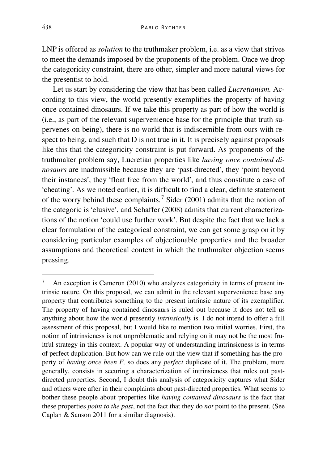LNP is offered as *solution* to the truthmaker problem, i.e. as a view that strives to meet the demands imposed by the proponents of the problem. Once we drop the categoricity constraint, there are other, simpler and more natural views for the presentist to hold.

Let us start by considering the view that has been called *Lucretianism.* According to this view, the world presently exemplifies the property of having once contained dinosaurs. If we take this property as part of how the world is (i.e., as part of the relevant supervenience base for the principle that truth supervenes on being), there is no world that is indiscernible from ours with respect to being, and such that D is not true in it. It is precisely against proposals like this that the categoricity constraint is put forward. As proponents of the truthmaker problem say, Lucretian properties like *having once contained dinosaurs* are inadmissible because they are 'past-directed', they 'point beyond their instances', they 'float free from the world', and thus constitute a case of 'cheating'. As we noted earlier, it is difficult to find a clear, definite statement of the worry behind these complaints.<sup>[7](#page-10-0)</sup> Sider (2001) admits that the notion of the categoric is 'elusive', and Schaffer (2008) admits that current characterizations of the notion 'could use further work'. But despite the fact that we lack a clear formulation of the categorical constraint, we can get some grasp on it by considering particular examples of objectionable properties and the broader assumptions and theoretical context in which the truthmaker objection seems pressing.

<span id="page-10-0"></span><sup>&</sup>lt;sup>7</sup> An exception is Cameron (2010) who analyzes categoricity in terms of present intrinsic nature. On this proposal, we can admit in the relevant supervenience base any property that contributes something to the present intrinsic nature of its exemplifier. The property of having contained dinosaurs is ruled out because it does not tell us anything about how the world presently *intrinsically* is. I do not intend to offer a full assessment of this proposal, but I would like to mention two initial worries. First, the notion of intrinsicness is not unproblematic and relying on it may not be the most fruitful strategy in this context. A popular way of understanding intrinsicness is in terms of perfect duplication. But how can we rule out the view that if something has the property of *having once been F,* so does any *perfect* duplicate of it. The problem, more generally, consists in securing a characterization of intrinsicness that rules out pastdirected properties. Second, I doubt this analysis of categoricity captures what Sider and others were after in their complaints about past-directed properties. What seems to bother these people about properties like *having contained dinosaurs* is the fact that these properties *point to the past*, not the fact that they do *not* point to the present. (See Caplan & Sanson 2011 for a similar diagnosis).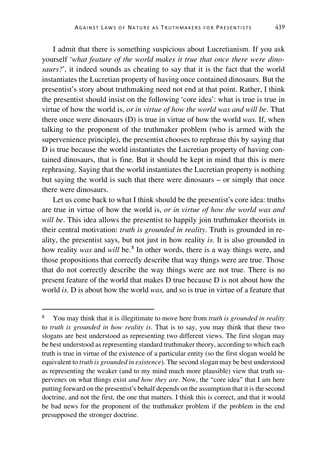I admit that there is something suspicious about Lucretianism. If you ask yourself '*what feature of the world makes it true that once there were dinosaurs?*', it indeed sounds as cheating to say that it is the fact that the world instantiates the Lucretian property of having once contained dinosaurs. But the presentist's story about truthmaking need not end at that point. Rather, I think the presentist should insist on the following 'core idea': what is true is true in virtue of how the world is, *or in virtue of how the world was and will be*. That there once were dinosaurs (D) is true in virtue of how the world *was.* If, when talking to the proponent of the truthmaker problem (who is armed with the supervenience principle), the presentist chooses to rephrase this by saying that D is true because the world instantiates the Lucretian property of having contained dinosaurs, that is fine. But it should be kept in mind that this is mere rephrasing. Saying that the world instantiates the Lucretian property is nothing but saying the world is such that there were dinosaurs – or simply that once there were dinosaurs.

Let us come back to what I think should be the presentist's core idea: truths are true in virtue of how the world is, *or in virtue of how the world was and will be*. This idea allows the presentist to happily join truthmaker theorists in their central motivation: *truth is grounded in reality*. Truth is grounded in reality, the presentist says, but not just in how reality *is.* It is also grounded in how reality *was* and *will* be.[8](#page-11-0) In other words, there is a way things were, and those propositions that correctly describe that way things were are true. Those that do not correctly describe the way things were are not true. There is no present feature of the world that makes D true because D is not about how the world *is.* D is about how the world *was,* and so is true in virtue of a feature that

<span id="page-11-0"></span> <sup>8</sup> You may think that it is illegitimate to move here from *truth is grounded in reality* to *truth is grounded in how reality is*. That is to say, you may think that these two slogans are best understood as representing two different views. The first slogan may be best understood as representing standard truthmaker theory, according to which each truth is true in virtue of the existence of a particular entity (so the first slogan would be equivalent to *truth is grounded in existence*). The second slogan may be best understood as representing the weaker (and to my mind much more plausible) view that truth supervenes on what things exist *and how they are*. Now, the "core idea" that I am here putting forward on the presentist's behalf depends on the assumption that it is the second doctrine, and not the first, the one that matters. I think this is correct, and that it would be bad news for the proponent of the truthmaker problem if the problem in the end presupposed the stronger doctrine.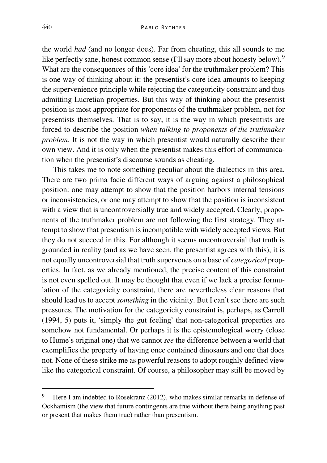the world *had* (and no longer does). Far from cheating, this all sounds to me like perfectly sane, honest common sense (I'll say more about honesty below).<sup>[9](#page-12-0)</sup> What are the consequences of this 'core idea' for the truthmaker problem? This is one way of thinking about it: the presentist's core idea amounts to keeping the supervenience principle while rejecting the categoricity constraint and thus admitting Lucretian properties. But this way of thinking about the presentist position is most appropriate for proponents of the truthmaker problem, not for presentists themselves. That is to say, it is the way in which presentists are forced to describe the position *when talking to proponents of the truthmaker problem*. It is not the way in which presentist would naturally describe their own view. And it is only when the presentist makes this effort of communication when the presentist's discourse sounds as cheating.

This takes me to note something peculiar about the dialectics in this area. There are two prima facie different ways of arguing against a philosophical position: one may attempt to show that the position harbors internal tensions or inconsistencies, or one may attempt to show that the position is inconsistent with a view that is uncontroversially true and widely accepted. Clearly, proponents of the truthmaker problem are not following the first strategy. They attempt to show that presentism is incompatible with widely accepted views. But they do not succeed in this. For although it seems uncontroversial that truth is grounded in reality (and as we have seen, the presentist agrees with this), it is not equally uncontroversial that truth supervenes on a base of *categorical* properties. In fact, as we already mentioned, the precise content of this constraint is not even spelled out. It may be thought that even if we lack a precise formulation of the categoricity constraint, there are nevertheless clear reasons that should lead us to accept *something* in the vicinity. But I can't see there are such pressures. The motivation for the categoricity constraint is, perhaps, as Carroll (1994, 5) puts it, 'simply the gut feeling' that non-categorical properties are somehow not fundamental. Or perhaps it is the epistemological worry (close to Hume's original one) that we cannot *see* the difference between a world that exemplifies the property of having once contained dinosaurs and one that does not. None of these strike me as powerful reasons to adopt roughly defined view like the categorical constraint. Of course, a philosopher may still be moved by

<span id="page-12-0"></span> <sup>9</sup> Here I am indebted to Rosekranz (2012), who makes similar remarks in defense of Ockhamism (the view that future contingents are true without there being anything past or present that makes them true) rather than presentism.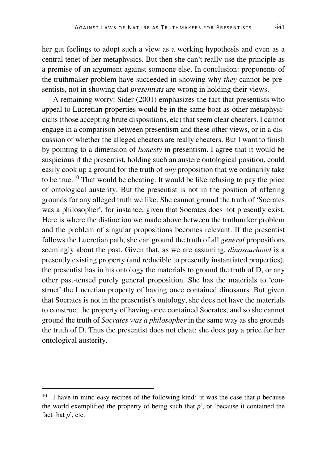her gut feelings to adopt such a view as a working hypothesis and even as a central tenet of her metaphysics. But then she can't really use the principle as a premise of an argument against someone else. In conclusion: proponents of the truthmaker problem have succeeded in showing why *they* cannot be presentists, not in showing that *presentists* are wrong in holding their views.

A remaining worry: Sider (2001) emphasizes the fact that presentists who appeal to Lucretian properties would be in the same boat as other metaphysicians (those accepting brute dispositions, etc) that seem clear cheaters. I cannot engage in a comparison between presentism and these other views, or in a discussion of whether the alleged cheaters are really cheaters. But I want to finish by pointing to a dimension of *honesty* in presentism. I agree that it would be suspicious if the presentist, holding such an austere ontological position, could easily cook up a ground for the truth of *any* proposition that we ordinarily take to be true.<sup>[10](#page-13-0)</sup> That would be cheating. It would be like refusing to pay the price of ontological austerity. But the presentist is not in the position of offering grounds for any alleged truth we like. She cannot ground the truth of 'Socrates was a philosopher', for instance, given that Socrates does not presently exist. Here is where the distinction we made above between the truthmaker problem and the problem of singular propositions becomes relevant. If the presentist follows the Lucretian path, she can ground the truth of all *general* propositions seemingly about the past. Given that, as we are assuming, *dinosaurhood* is a presently existing property (and reducible to presently instantiated properties), the presentist has in his ontology the materials to ground the truth of D, or any other past-tensed purely general proposition. She has the materials to 'construct' the Lucretian property of having once contained dinosaurs. But given that Socrates is not in the presentist's ontology, she does not have the materials to construct the property of having once contained Socrates, and so she cannot ground the truth of *Socrates was a philosopher* in the same way as she grounds the truth of D. Thus the presentist does not cheat: she does pay a price for her ontological austerity.

<span id="page-13-0"></span> <sup>10</sup> I have in mind easy recipes of the following kind: 'it was the case that *<sup>p</sup>* because the world exemplified the property of being such that *p*', or 'because it contained the fact that *p*', etc.